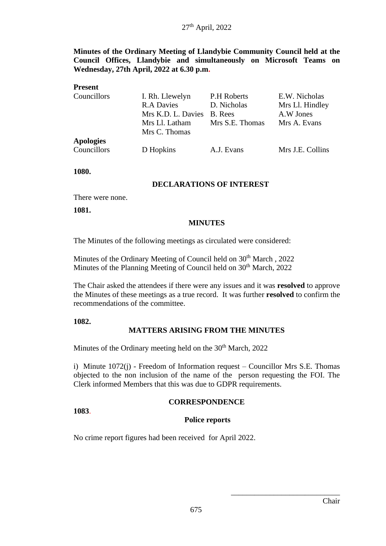**Minutes of the Ordinary Meeting of Llandybie Community Council held at the Council Offices, Llandybie and simultaneously on Microsoft Teams on Wednesday, 27th April, 2022 at 6.30 p.m.**

| <b>Present</b>   |                            |                    |                  |
|------------------|----------------------------|--------------------|------------------|
| Councillors      | I. Rh. Llewelyn            | <b>P.H Roberts</b> | E.W. Nicholas    |
|                  | <b>R.A Davies</b>          | D. Nicholas        | Mrs Ll. Hindley  |
|                  | Mrs K.D. L. Davies B. Rees |                    | A.W Jones        |
|                  | Mrs Ll. Latham             | Mrs S.E. Thomas    | Mrs A. Evans     |
|                  | Mrs C. Thomas              |                    |                  |
| <b>Apologies</b> |                            |                    |                  |
| Councillors      | D Hopkins                  | A.J. Evans         | Mrs J.E. Collins |

**1080.**

#### **DECLARATIONS OF INTEREST**

There were none.

**1081.**

#### **MINUTES**

The Minutes of the following meetings as circulated were considered:

Minutes of the Ordinary Meeting of Council held on 30<sup>th</sup> March, 2022 Minutes of the Planning Meeting of Council held on 30<sup>th</sup> March, 2022

The Chair asked the attendees if there were any issues and it was **resolved** to approve the Minutes of these meetings as a true record. It was further **resolved** to confirm the recommendations of the committee.

#### **1082.**

**1083**.

#### **MATTERS ARISING FROM THE MINUTES**

Minutes of the Ordinary meeting held on the 30<sup>th</sup> March, 2022

i) Minute 1072(j) - Freedom of Information request – Councillor Mrs S.E. Thomas objected to the non inclusion of the name of the person requesting the FOI. The Clerk informed Members that this was due to GDPR requirements.

# **CORRESPONDENCE**

#### **Police reports**

No crime report figures had been received for April 2022.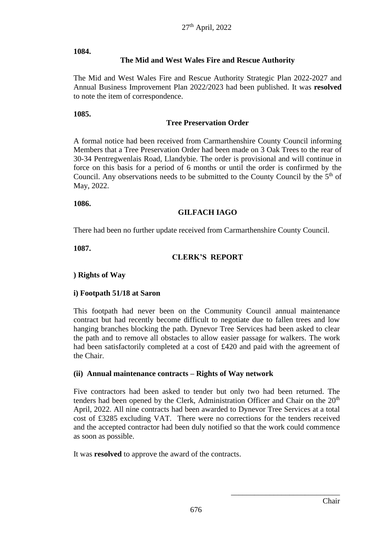#### **1084.**

### **The Mid and West Wales Fire and Rescue Authority**

The Mid and West Wales Fire and Rescue Authority Strategic Plan 2022-2027 and Annual Business Improvement Plan 2022/2023 had been published. It was **resolved** to note the item of correspondence.

### **1085.**

### **Tree Preservation Order**

A formal notice had been received from Carmarthenshire County Council informing Members that a Tree Preservation Order had been made on 3 Oak Trees to the rear of 30-34 Pentregwenlais Road, Llandybie. The order is provisional and will continue in force on this basis for a period of 6 months or until the order is confirmed by the Council. Any observations needs to be submitted to the County Council by the  $5<sup>th</sup>$  of May, 2022.

#### **1086.**

### **GILFACH IAGO**

There had been no further update received from Carmarthenshire County Council.

**1087.**

### **CLERK'S REPORT**

### **) Rights of Way**

### **i) Footpath 51/18 at Saron**

This footpath had never been on the Community Council annual maintenance contract but had recently become difficult to negotiate due to fallen trees and low hanging branches blocking the path. Dynevor Tree Services had been asked to clear the path and to remove all obstacles to allow easier passage for walkers. The work had been satisfactorily completed at a cost of £420 and paid with the agreement of the Chair.

### **(ii) Annual maintenance contracts – Rights of Way network**

Five contractors had been asked to tender but only two had been returned. The tenders had been opened by the Clerk, Administration Officer and Chair on the  $20<sup>th</sup>$ April, 2022. All nine contracts had been awarded to Dynevor Tree Services at a total cost of £3285 excluding VAT. There were no corrections for the tenders received and the accepted contractor had been duly notified so that the work could commence as soon as possible.

It was **resolved** to approve the award of the contracts.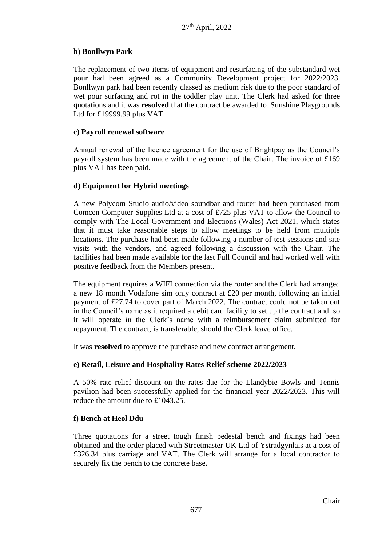### **b) Bonllwyn Park**

The replacement of two items of equipment and resurfacing of the substandard wet pour had been agreed as a Community Development project for 2022/2023. Bonllwyn park had been recently classed as medium risk due to the poor standard of wet pour surfacing and rot in the toddler play unit. The Clerk had asked for three quotations and it was **resolved** that the contract be awarded to Sunshine Playgrounds Ltd for £19999.99 plus VAT.

### **c) Payroll renewal software**

Annual renewal of the licence agreement for the use of Brightpay as the Council's payroll system has been made with the agreement of the Chair. The invoice of £169 plus VAT has been paid.

### **d) Equipment for Hybrid meetings**

A new Polycom Studio audio/video soundbar and router had been purchased from Comcen Computer Supplies Ltd at a cost of £725 plus VAT to allow the Council to comply with The Local Government and Elections (Wales) Act 2021, which states that it must take reasonable steps to allow meetings to be held from multiple locations. The purchase had been made following a number of test sessions and site visits with the vendors, and agreed following a discussion with the Chair. The facilities had been made available for the last Full Council and had worked well with positive feedback from the Members present.

The equipment requires a WIFI connection via the router and the Clerk had arranged a new 18 month Vodafone sim only contract at £20 per month, following an initial payment of £27.74 to cover part of March 2022. The contract could not be taken out in the Council's name as it required a debit card facility to set up the contract and so it will operate in the Clerk's name with a reimbursement claim submitted for repayment. The contract, is transferable, should the Clerk leave office.

It was **resolved** to approve the purchase and new contract arrangement.

### **e) Retail, Leisure and Hospitality Rates Relief scheme 2022/2023**

A 50% rate relief discount on the rates due for the Llandybie Bowls and Tennis pavilion had been successfully applied for the financial year 2022/2023. This will reduce the amount due to £1043.25.

### **f) Bench at Heol Ddu**

Three quotations for a street tough finish pedestal bench and fixings had been obtained and the order placed with Streetmaster UK Ltd of Ystradgynlais at a cost of £326.34 plus carriage and VAT. The Clerk will arrange for a local contractor to securely fix the bench to the concrete base.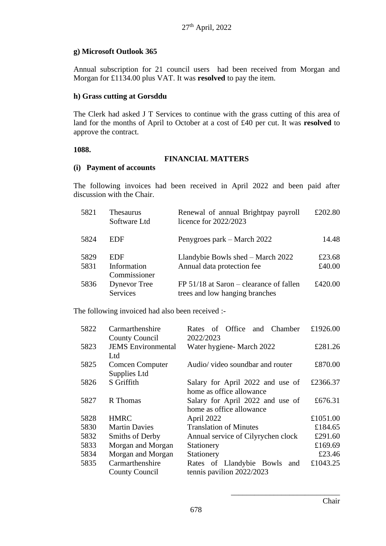### **g) Microsoft Outlook 365**

Annual subscription for 21 council users had been received from Morgan and Morgan for £1134.00 plus VAT. It was **resolved** to pay the item.

### **h) Grass cutting at Gorsddu**

The Clerk had asked J T Services to continue with the grass cutting of this area of land for the months of April to October at a cost of £40 per cut. It was **resolved** to approve the contract.

### **1088.**

### **FINANCIAL MATTERS**

### **(i) Payment of accounts**

The following invoices had been received in April 2022 and been paid after discussion with the Chair.

| 5821         | Thesaurus<br>Software Ltd          | Renewal of annual Brightpay payroll<br>licence for $2022/2023$              | £202.80          |
|--------------|------------------------------------|-----------------------------------------------------------------------------|------------------|
| 5824         | <b>EDF</b>                         | Penygroes park – March 2022                                                 | 14.48            |
| 5829<br>5831 | EDF<br>Information<br>Commissioner | Llandybie Bowls shed – March 2022<br>Annual data protection fee             | £23.68<br>£40.00 |
| 5836         | <b>Dynevor</b> Tree<br>Services    | $FP 51/18$ at Saron – clearance of fallen<br>trees and low hanging branches | £420.00          |

The following invoiced had also been received :-

| 5822 | Carmarthenshire           | of Office and Chamber<br>Rates     | £1926.00 |
|------|---------------------------|------------------------------------|----------|
|      | <b>County Council</b>     | 2022/2023                          |          |
| 5823 | <b>JEMS</b> Environmental | Water hygiene- March 2022          | £281.26  |
|      | Ltd                       |                                    |          |
| 5825 | <b>Comcen Computer</b>    | Audio/ video soundbar and router   | £870.00  |
|      | Supplies Ltd              |                                    |          |
| 5826 | S Griffith                | Salary for April 2022 and use of   | £2366.37 |
|      |                           | home as office allowance           |          |
| 5827 | R Thomas                  | Salary for April 2022 and use of   | £676.31  |
|      |                           | home as office allowance           |          |
| 5828 | <b>HMRC</b>               | April 2022                         | £1051.00 |
| 5830 | <b>Martin Davies</b>      | <b>Translation of Minutes</b>      | £184.65  |
| 5832 | Smiths of Derby           | Annual service of Cilyrychen clock | £291.60  |
| 5833 | Morgan and Morgan         | Stationery                         | £169.69  |
| 5834 | Morgan and Morgan         | Stationery                         | £23.46   |
| 5835 | Carmarthenshire           | Rates of Llandybie Bowls<br>and    | £1043.25 |
|      | <b>County Council</b>     | tennis pavilion 2022/2023          |          |
|      |                           |                                    |          |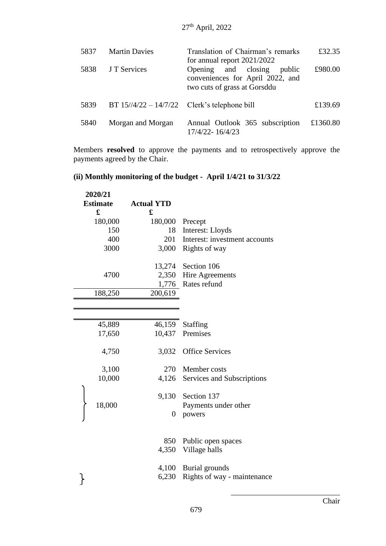| 5837 | <b>Martin Davies</b>                                          | Translation of Chairman's remarks<br>for annual report $2021/2022$                                | £32.35   |
|------|---------------------------------------------------------------|---------------------------------------------------------------------------------------------------|----------|
| 5838 | J T Services                                                  | Opening and closing<br>public<br>conveniences for April 2022, and<br>two cuts of grass at Gorsddu | £980.00  |
| 5839 | BT $15\frac{1}{4}\frac{22 - 14}{7/22}$ Clerk's telephone bill |                                                                                                   | £139.69  |
| 5840 | Morgan and Morgan                                             | Annual Outlook 365 subscription<br>17/4/22-16/4/23                                                | £1360.80 |

Members **resolved** to approve the payments and to retrospectively approve the payments agreed by the Chair.

# **(ii) Monthly monitoring of the budget - April 1/4/21 to 31/3/22**

| 2020/21         |                   |                               |
|-----------------|-------------------|-------------------------------|
| <b>Estimate</b> | <b>Actual YTD</b> |                               |
| £               | £                 |                               |
| 180,000         | 180,000           | Precept                       |
| 150             | 18                | Interest: Lloyds              |
| 400             | 201               | Interest: investment accounts |
| 3000            | 3,000             | Rights of way                 |
|                 |                   |                               |
|                 | 13,274            | Section 106                   |
| 4700            | 2,350             | Hire Agreements               |
|                 | 1,776             | Rates refund                  |
| 188,250         | 200,619           |                               |
|                 |                   |                               |
|                 |                   |                               |
| 45,889          | 46,159            | Staffing                      |
| 17,650          | 10,437            | Premises                      |
|                 |                   |                               |
| 4,750           | 3,032             | <b>Office Services</b>        |
|                 |                   |                               |
| 3,100           |                   | 270 Member costs              |
| 10,000          | 4,126             | Services and Subscriptions    |
|                 |                   |                               |
|                 | 9,130             | Section 137                   |
| 18,000          |                   | Payments under other          |
|                 | $\boldsymbol{0}$  | powers                        |
|                 |                   |                               |
|                 |                   |                               |
|                 | 850               | Public open spaces            |
|                 | 4,350             | Village halls                 |
|                 |                   |                               |
|                 | 4,100             | Burial grounds                |
|                 | 6,230             | Rights of way - maintenance   |
|                 |                   |                               |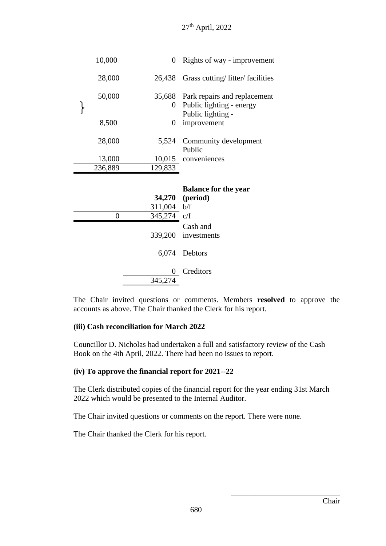| 10,000           | 0            | Rights of way - improvement     |
|------------------|--------------|---------------------------------|
| 28,000           | 26,438       | Grass cutting/litter/facilities |
| 50,000           | 35,688       | Park repairs and replacement    |
|                  | $\rm 0^-$    | Public lighting - energy        |
|                  |              | Public lighting -               |
| 8,500            | 0            | improvement                     |
| 28,000           | 5,524        | Community development           |
|                  |              | Public                          |
| 13,000           |              | 10,015 conveniences             |
| 236,889          | 129,833      |                                 |
|                  |              |                                 |
|                  |              |                                 |
|                  |              | <b>Balance for the year</b>     |
|                  | 34,270       | (period)                        |
|                  | 311,004      | b/f                             |
| $\boldsymbol{0}$ | 345,274      | c/f                             |
|                  |              | Cash and                        |
|                  | 339,200      | investments                     |
|                  |              |                                 |
|                  | 6,074        | Debtors                         |
|                  |              |                                 |
|                  | 0<br>345,274 | Creditors                       |

The Chair invited questions or comments. Members **resolved** to approve the accounts as above. The Chair thanked the Clerk for his report.

### **(iii) Cash reconciliation for March 2022**

Councillor D. Nicholas had undertaken a full and satisfactory review of the Cash Book on the 4th April, 2022. There had been no issues to report.

#### **(iv) To approve the financial report for 2021--22**

The Clerk distributed copies of the financial report for the year ending 31st March 2022 which would be presented to the Internal Auditor.

The Chair invited questions or comments on the report. There were none.

The Chair thanked the Clerk for his report.